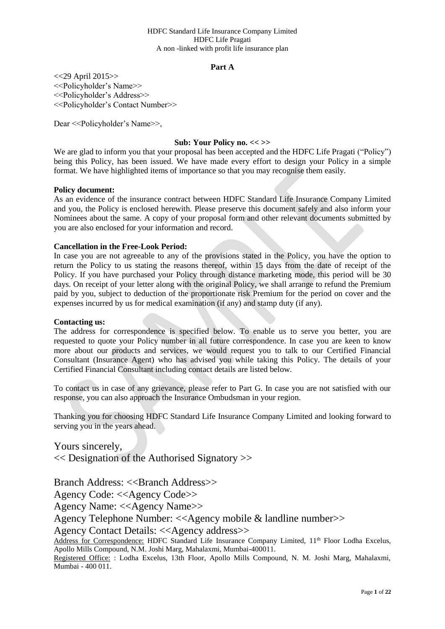#### HDFC Standard Life Insurance Company Limited HDFC Life Pragati A non -linked with profit life insurance plan

## **Part A**

<<29 April 2015>> <<Policyholder's Name>> <<Policyholder's Address>> <<Policyholder's Contact Number>>

Dear << Policyholder's Name>>,

## **Sub: Your Policy no. << >>**

We are glad to inform you that your proposal has been accepted and the HDFC Life Pragati ("Policy") being this Policy, has been issued. We have made every effort to design your Policy in a simple format. We have highlighted items of importance so that you may recognise them easily.

#### **Policy document:**

As an evidence of the insurance contract between HDFC Standard Life Insurance Company Limited and you, the Policy is enclosed herewith. Please preserve this document safely and also inform your Nominees about the same. A copy of your proposal form and other relevant documents submitted by you are also enclosed for your information and record.

## **Cancellation in the Free-Look Period:**

In case you are not agreeable to any of the provisions stated in the Policy, you have the option to return the Policy to us stating the reasons thereof, within 15 days from the date of receipt of the Policy. If you have purchased your Policy through distance marketing mode, this period will be 30 days. On receipt of your letter along with the original Policy, we shall arrange to refund the Premium paid by you, subject to deduction of the proportionate risk Premium for the period on cover and the expenses incurred by us for medical examination (if any) and stamp duty (if any).

## **Contacting us:**

The address for correspondence is specified below. To enable us to serve you better, you are requested to quote your Policy number in all future correspondence. In case you are keen to know more about our products and services, we would request you to talk to our Certified Financial Consultant (Insurance Agent) who has advised you while taking this Policy. The details of your Certified Financial Consultant including contact details are listed below.

To contact us in case of any grievance, please refer to Part G. In case you are not satisfied with our response, you can also approach the Insurance Ombudsman in your region.

Thanking you for choosing HDFC Standard Life Insurance Company Limited and looking forward to serving you in the years ahead.

Yours sincerely, << Designation of the Authorised Signatory >>

Branch Address: <<Branch Address>>

Agency Code: <<Agency Code>>

Agency Name: <<Agency Name>>

Agency Telephone Number: <<Agency mobile & landline number>>

Agency Contact Details: <<Agency address>>

Address for Correspondence: HDFC Standard Life Insurance Company Limited, 11<sup>th</sup> Floor Lodha Excelus, Apollo Mills Compound, N.M. Joshi Marg, Mahalaxmi, Mumbai-400011.

Registered Office: : Lodha Excelus, 13th Floor, Apollo Mills Compound, N. M. Joshi Marg, Mahalaxmi, Mumbai - 400 011.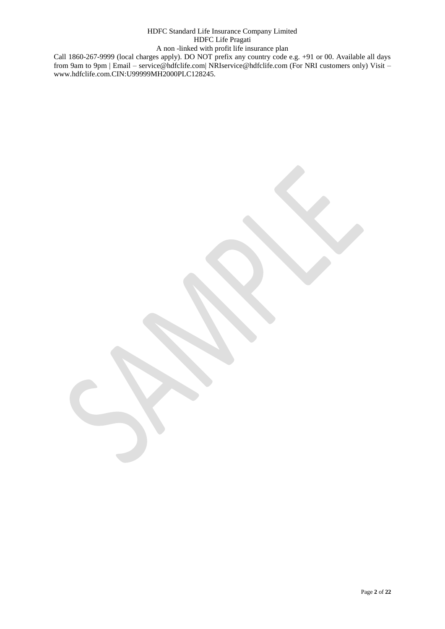# HDFC Standard Life Insurance Company Limited HDFC Life Pragati

A non -linked with profit life insurance plan

Call 1860-267-9999 (local charges apply). DO NOT prefix any country code e.g. +91 or 00. Available all days from 9am to 9pm | Email – service@hdfclife.com| NRIservice@hdfclife.com (For NRI customers only) Visit – www.hdfclife.com.CIN:U99999MH2000PLC128245.

Page **2** of **22**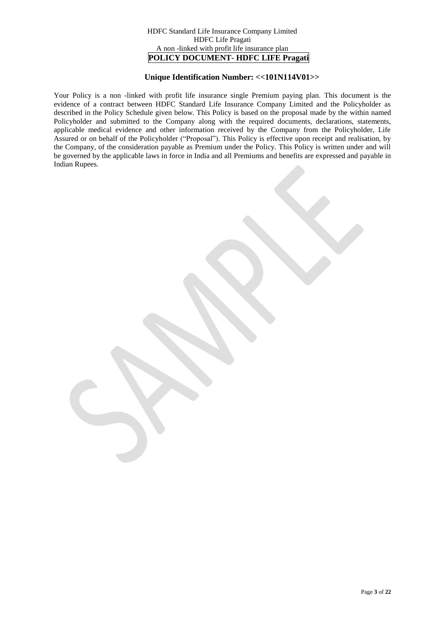#### HDFC Standard Life Insurance Company Limited HDFC Life Pragati A non -linked with profit life insurance plan **POLICY DOCUMENT- HDFC LIFE Pragati**

### **Unique Identification Number: <<101N114V01>>**

Your Policy is a non -linked with profit life insurance single Premium paying plan. This document is the evidence of a contract between HDFC Standard Life Insurance Company Limited and the Policyholder as described in the Policy Schedule given below. This Policy is based on the proposal made by the within named Policyholder and submitted to the Company along with the required documents, declarations, statements, applicable medical evidence and other information received by the Company from the Policyholder, Life Assured or on behalf of the Policyholder ("Proposal"). This Policy is effective upon receipt and realisation, by the Company, of the consideration payable as Premium under the Policy. This Policy is written under and will be governed by the applicable laws in force in India and all Premiums and benefits are expressed and payable in Indian Rupees.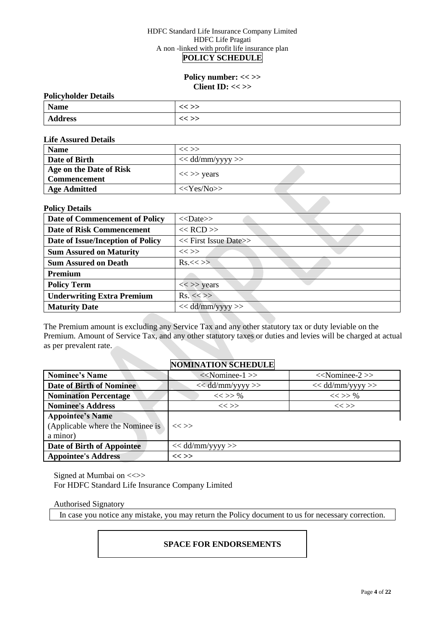#### HDFC Standard Life Insurance Company Limited HDFC Life Pragati A non -linked with profit life insurance plan **POLICY SCHEDULE**

## **Policy number: << >> Client ID: << >>**

# **Policyholder Details**

| $\sim$ 0.110 $\sim$ 110 $\sim$ 100 $\sim$ 100 $\sim$ 1110 $\sim$<br><b>Name</b> |  |
|---------------------------------------------------------------------------------|--|
| <b>Address</b>                                                                  |  |

## **Life Assured Details**

| <b>Name</b>             | $<<$ $>>$            |
|-------------------------|----------------------|
| Date of Birth           | $<<$ dd/mm/yyyy $>>$ |
| Age on the Date of Risk |                      |
| <b>Commencement</b>     | $<<$ >> years        |
| <b>Age Admitted</b>     | $<<\text{Yes/No}$    |

## **Policy Details**

| Date of Commencement of Policy    | $<<$ Date $>>$        |
|-----------------------------------|-----------------------|
| <b>Date of Risk Commencement</b>  | $<<$ RCD $>>$         |
| Date of Issue/Inception of Policy | << First Issue Date>> |
| <b>Sum Assured on Maturity</b>    | $<<$ >>               |
| <b>Sum Assured on Death</b>       | $Rs.<\ll\gg$          |
| Premium                           |                       |
| <b>Policy Term</b>                | $<<$ >> years         |
| <b>Underwriting Extra Premium</b> | $Rs. \ll>>$           |
| <b>Maturity Date</b>              | $<<$ dd/mm/yyyy>>     |

The Premium amount is excluding any Service Tax and any other statutory tax or duty leviable on the Premium. Amount of Service Tax, and any other statutory taxes or duties and levies will be charged at actual as per prevalent rate.

# **NOMINATION SCHEDULE**

| <b>Nominee's Name</b>                                                   | $<<$ Nominee-1 $>>$ | $<<$ Nominee-2 $>>$  |
|-------------------------------------------------------------------------|---------------------|----------------------|
| <b>Date of Birth of Nominee</b>                                         | $<<$ dd/mm/yyyy >>  | $<<$ dd/mm/yyyy $>>$ |
| <b>Nomination Percentage</b>                                            | $<<$ >> %           | $<<$ >> %            |
| <b>Nominee's Address</b>                                                | $<<$ $>>$           | $<<$ $>>$            |
| <b>Appointee's Name</b><br>(Applicable where the Nominee is<br>a minor) | $<<$ >>             |                      |
| Date of Birth of Appointee                                              | $<<$ dd/mm/yyyy >>  |                      |
| <b>Appointee's Address</b>                                              | $<<$ >>             |                      |

Signed at Mumbai on  $\ll\gg$ For HDFC Standard Life Insurance Company Limited

#### Authorised Signatory

In case you notice any mistake, you may return the Policy document to us for necessary correction.

## **SPACE FOR ENDORSEMENTS**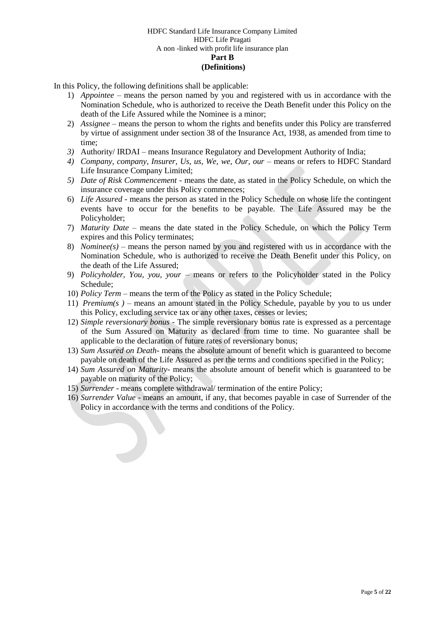In this Policy, the following definitions shall be applicable:

- 1) *Appointee –* means the person named by you and registered with us in accordance with the Nomination Schedule, who is authorized to receive the Death Benefit under this Policy on the death of the Life Assured while the Nominee is a minor;
- 2) *Assignee*  means the person to whom the rights and benefits under this Policy are transferred by virtue of assignment under section 38 of the Insurance Act, 1938, as amended from time to time;
- *3)* Authority/ IRDAI means Insurance Regulatory and Development Authority of India;
- 4) *Company, company, Insurer, Us, us, We, we, Our, our means or refers to HDFC Standard* Life Insurance Company Limited;
- *5) Date of Risk Commencement -* means the date, as stated in the Policy Schedule, on which the insurance coverage under this Policy commences;
- 6) *Life Assured* means the person as stated in the Policy Schedule on whose life the contingent events have to occur for the benefits to be payable. The Life Assured may be the Policyholder;
- 7) *Maturity Date* means the date stated in the Policy Schedule, on which the Policy Term expires and this Policy terminates;
- 8) *Nominee(s)* means the person named by you and registered with us in accordance with the Nomination Schedule, who is authorized to receive the Death Benefit under this Policy, on the death of the Life Assured;
- 9) *Policyholder, You, you, your* means or refers to the Policyholder stated in the Policy Schedule;
- 10) *Policy Term –* means the term of the Policy as stated in the Policy Schedule;
- 11) *Premium(s )* means an amount stated in the Policy Schedule, payable by you to us under this Policy, excluding service tax or any other taxes, cesses or levies;
- 12) *Simple reversionary bonus -* The simple reversionary bonus rate is expressed as a percentage of the Sum Assured on Maturity as declared from time to time. No guarantee shall be applicable to the declaration of future rates of reversionary bonus;
- 13) *Sum Assured on Death* means the absolute amount of benefit which is guaranteed to become payable on death of the Life Assured as per the terms and conditions specified in the Policy;
- 14) *Sum Assured on Maturity* means the absolute amount of benefit which is guaranteed to be payable on maturity of the Policy;
- 15) *Surrender* means complete withdrawal/ termination of the entire Policy;
- 16) *Surrender Value* means an amount, if any, that becomes payable in case of Surrender of the Policy in accordance with the terms and conditions of the Policy.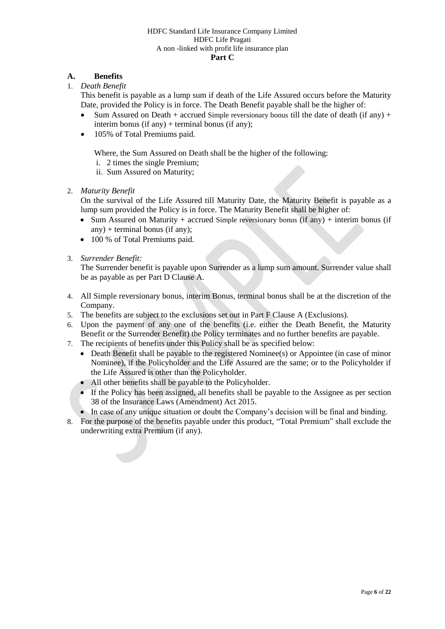#### HDFC Standard Life Insurance Company Limited HDFC Life Pragati A non -linked with profit life insurance plan **Part C**

# **A. Benefits**

## 1. *Death Benefit*

This benefit is payable as a lump sum if death of the Life Assured occurs before the Maturity Date, provided the Policy is in force. The Death Benefit payable shall be the higher of:

- Sum Assured on Death + accrued Simple reversionary bonus till the date of death (if any) + interim bonus (if any) + terminal bonus (if any);
- 105% of Total Premiums paid.

Where, the Sum Assured on Death shall be the higher of the following:

- i. 2 times the single Premium;
- ii. Sum Assured on Maturity;
- 2. *Maturity Benefit*

On the survival of the Life Assured till Maturity Date, the Maturity Benefit is payable as a lump sum provided the Policy is in force. The Maturity Benefit shall be higher of:

- Sum Assured on Maturity + accrued Simple reversionary bonus (if any) + interim bonus (if any) + terminal bonus (if any);
- 100 % of Total Premiums paid.
- 3. *Surrender Benefit:*

The Surrender benefit is payable upon Surrender as a lump sum amount. Surrender value shall be as payable as per Part D Clause A.

- 4. All Simple reversionary bonus, interim Bonus, terminal bonus shall be at the discretion of the Company.
- 5. The benefits are subject to the exclusions set out in Part F Clause A (Exclusions).
- 6. Upon the payment of any one of the benefits (i.e. either the Death Benefit, the Maturity Benefit or the Surrender Benefit) the Policy terminates and no further benefits are payable.
- 7. The recipients of benefits under this Policy shall be as specified below:
	- Death Benefit shall be payable to the registered Nominee(s) or Appointee (in case of minor Nominee), if the Policyholder and the Life Assured are the same; or to the Policyholder if the Life Assured is other than the Policyholder.
	- All other benefits shall be payable to the Policyholder.
	- If the Policy has been assigned, all benefits shall be payable to the Assignee as per section 38 of the Insurance Laws (Amendment) Act 2015.
	- In case of any unique situation or doubt the Company's decision will be final and binding.
- 8. For the purpose of the benefits payable under this product, "Total Premium" shall exclude the underwriting extra Premium (if any).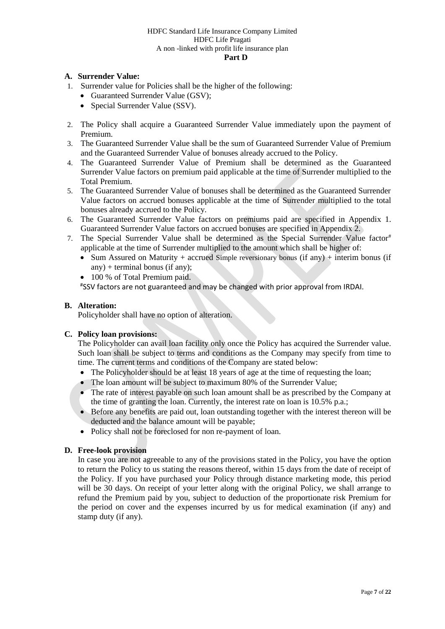#### HDFC Standard Life Insurance Company Limited HDFC Life Pragati A non -linked with profit life insurance plan **Part D**

## **A. Surrender Value:**

- 1. Surrender value for Policies shall be the higher of the following:
	- Guaranteed Surrender Value (GSV);
	- Special Surrender Value (SSV).
- 2. The Policy shall acquire a Guaranteed Surrender Value immediately upon the payment of Premium.
- 3. The Guaranteed Surrender Value shall be the sum of Guaranteed Surrender Value of Premium and the Guaranteed Surrender Value of bonuses already accrued to the Policy.
- 4. The Guaranteed Surrender Value of Premium shall be determined as the Guaranteed Surrender Value factors on premium paid applicable at the time of Surrender multiplied to the Total Premium.
- 5. The Guaranteed Surrender Value of bonuses shall be determined as the Guaranteed Surrender Value factors on accrued bonuses applicable at the time of Surrender multiplied to the total bonuses already accrued to the Policy.
- 6. The Guaranteed Surrender Value factors on premiums paid are specified in Appendix 1. Guaranteed Surrender Value factors on accrued bonuses are specified in Appendix 2.
- 7. The Special Surrender Value shall be determined as the Special Surrender Value factor<sup>#</sup> applicable at the time of Surrender multiplied to the amount which shall be higher of:
	- Sum Assured on Maturity + accrued Simple reversionary bonus (if any) + interim bonus (if any) + terminal bonus (if any);
	- 100 % of Total Premium paid.

# SSV factors are not guaranteed and may be changed with prior approval from IRDAI.

## **B. Alteration:**

Policyholder shall have no option of alteration.

### **C. Policy loan provisions:**

The Policyholder can avail loan facility only once the Policy has acquired the Surrender value. Such loan shall be subject to terms and conditions as the Company may specify from time to time. The current terms and conditions of the Company are stated below:

- The Policyholder should be at least 18 years of age at the time of requesting the loan;
- The loan amount will be subject to maximum 80% of the Surrender Value;
- The rate of interest payable on such loan amount shall be as prescribed by the Company at the time of granting the loan. Currently, the interest rate on loan is 10.5% p.a.;
- Before any benefits are paid out, loan outstanding together with the interest thereon will be deducted and the balance amount will be payable;
- Policy shall not be foreclosed for non re-payment of loan.

#### **D. Free-look provision**

In case you are not agreeable to any of the provisions stated in the Policy, you have the option to return the Policy to us stating the reasons thereof, within 15 days from the date of receipt of the Policy. If you have purchased your Policy through distance marketing mode, this period will be 30 days. On receipt of your letter along with the original Policy, we shall arrange to refund the Premium paid by you, subject to deduction of the proportionate risk Premium for the period on cover and the expenses incurred by us for medical examination (if any) and stamp duty (if any).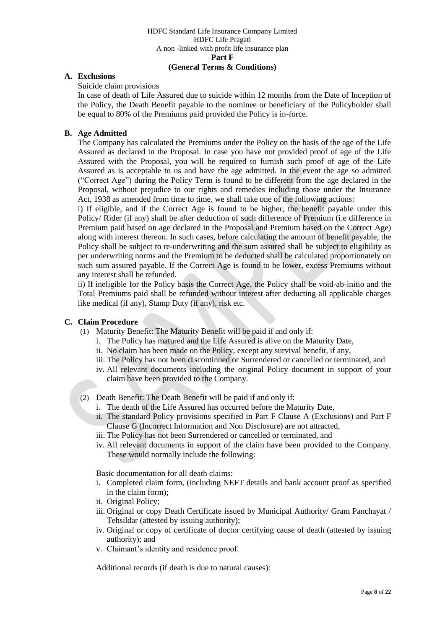#### HDFC Standard Life Insurance Company Limited HDFC Life Pragati A non -linked with profit life insurance plan **Part F (General Terms & Conditions)**

## **A. Exclusions**

Suicide claim provisions

In case of death of Life Assured due to suicide within 12 months from the Date of Inception of the Policy, the Death Benefit payable to the nominee or beneficiary of the Policyholder shall be equal to 80% of the Premiums paid provided the Policy is in-force.

## **B. Age Admitted**

The Company has calculated the Premiums under the Policy on the basis of the age of the Life Assured as declared in the Proposal. In case you have not provided proof of age of the Life Assured with the Proposal, you will be required to furnish such proof of age of the Life Assured as is acceptable to us and have the age admitted. In the event the age so admitted ("Correct Age") during the Policy Term is found to be different from the age declared in the Proposal, without prejudice to our rights and remedies including those under the Insurance Act, 1938 as amended from time to time, we shall take one of the following actions:

i) If eligible, and if the Correct Age is found to be higher, the benefit payable under this Policy/ Rider (if any) shall be after deduction of such difference of Premium (i.e difference in Premium paid based on age declared in the Proposal and Premium based on the Correct Age) along with interest thereon. In such cases, before calculating the amount of benefit payable, the Policy shall be subject to re-underwriting and the sum assured shall be subject to eligibility as per underwriting norms and the Premium to be deducted shall be calculated proportionately on such sum assured payable. If the Correct Age is found to be lower, excess Premiums without any interest shall be refunded.

ii) If ineligible for the Policy basis the Correct Age, the Policy shall be void-ab-initio and the Total Premiums paid shall be refunded without interest after deducting all applicable charges like medical (if any), Stamp Duty (if any), risk etc.

## **C. Claim Procedure**

- (1) Maturity Benefit: The Maturity Benefit will be paid if and only if:
	- i. The Policy has matured and the Life Assured is alive on the Maturity Date,
	- ii. No claim has been made on the Policy, except any survival benefit, if any,
	- iii. The Policy has not been discontinued or Surrendered or cancelled or terminated, and
	- iv. All relevant documents including the original Policy document in support of your claim have been provided to the Company.
- (2) Death Benefit: The Death Benefit will be paid if and only if:
	- i. The death of the Life Assured has occurred before the Maturity Date,
	- ii. The standard Policy provisions specified in Part F Clause A (Exclusions) and Part F Clause G (Incorrect Information and Non Disclosure) are not attracted,
	- iii. The Policy has not been Surrendered or cancelled or terminated, and
	- iv. All relevant documents in support of the claim have been provided to the Company. These would normally include the following:

Basic documentation for all death claims:

- i. Completed claim form, (including NEFT details and bank account proof as specified in the claim form);
- ii. Original Policy;
- iii. Original or copy Death Certificate issued by Municipal Authority/ Gram Panchayat / Tehsildar (attested by issuing authority);
- iv. Original or copy of certificate of doctor certifying cause of death (attested by issuing authority); and
- v. Claimant's identity and residence proof.

Additional records (if death is due to natural causes):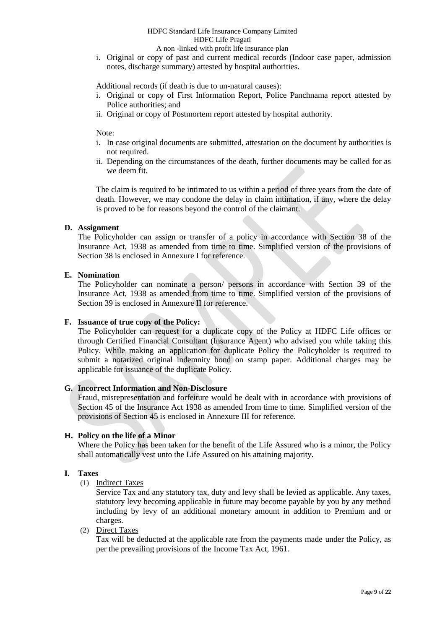## HDFC Standard Life Insurance Company Limited HDFC Life Pragati

#### A non -linked with profit life insurance plan

i. Original or copy of past and current medical records (Indoor case paper, admission notes, discharge summary) attested by hospital authorities.

Additional records (if death is due to un-natural causes):

- i. Original or copy of First Information Report, Police Panchnama report attested by Police authorities; and
- ii. Original or copy of Postmortem report attested by hospital authority.

#### Note:

- i. In case original documents are submitted, attestation on the document by authorities is not required.
- ii. Depending on the circumstances of the death, further documents may be called for as we deem fit.

The claim is required to be intimated to us within a period of three years from the date of death. However, we may condone the delay in claim intimation, if any, where the delay is proved to be for reasons beyond the control of the claimant.

## **D. Assignment**

The Policyholder can assign or transfer of a policy in accordance with Section 38 of the Insurance Act, 1938 as amended from time to time. Simplified version of the provisions of Section 38 is enclosed in Annexure I for reference.

## **E. Nomination**

The Policyholder can nominate a person/ persons in accordance with Section 39 of the Insurance Act, 1938 as amended from time to time. Simplified version of the provisions of Section 39 is enclosed in Annexure II for reference.

## **F. Issuance of true copy of the Policy:**

The Policyholder can request for a duplicate copy of the Policy at HDFC Life offices or through Certified Financial Consultant (Insurance Agent) who advised you while taking this Policy. While making an application for duplicate Policy the Policyholder is required to submit a notarized original indemnity bond on stamp paper. Additional charges may be applicable for issuance of the duplicate Policy.

## **G. Incorrect Information and Non-Disclosure**

Fraud, misrepresentation and forfeiture would be dealt with in accordance with provisions of Section 45 of the Insurance Act 1938 as amended from time to time. Simplified version of the provisions of Section 45 is enclosed in Annexure III for reference.

## **H. Policy on the life of a Minor**

Where the Policy has been taken for the benefit of the Life Assured who is a minor, the Policy shall automatically vest unto the Life Assured on his attaining majority.

## **I. Taxes**

(1) Indirect Taxes

Service Tax and any statutory tax, duty and levy shall be levied as applicable. Any taxes, statutory levy becoming applicable in future may become payable by you by any method including by levy of an additional monetary amount in addition to Premium and or charges.

## (2) Direct Taxes

Tax will be deducted at the applicable rate from the payments made under the Policy, as per the prevailing provisions of the Income Tax Act, 1961.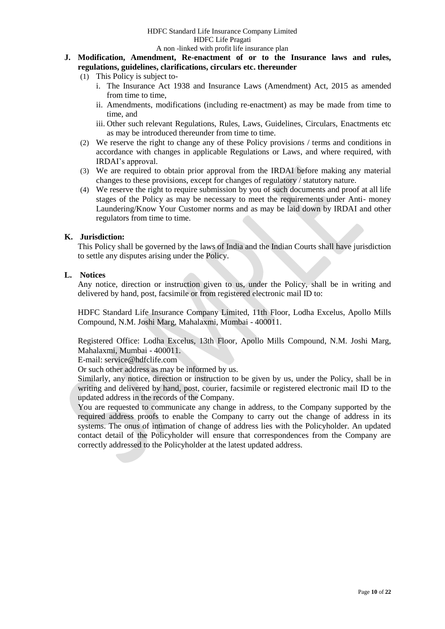#### A non -linked with profit life insurance plan

- **J. Modification, Amendment, Re-enactment of or to the Insurance laws and rules, regulations, guidelines, clarifications, circulars etc. thereunder** 
	- (1) This Policy is subject to
		- i. The Insurance Act 1938 and Insurance Laws (Amendment) Act, 2015 as amended from time to time.
		- ii. Amendments, modifications (including re-enactment) as may be made from time to time, and
		- iii. Other such relevant Regulations, Rules, Laws, Guidelines, Circulars, Enactments etc as may be introduced thereunder from time to time.
	- (2) We reserve the right to change any of these Policy provisions / terms and conditions in accordance with changes in applicable Regulations or Laws, and where required, with IRDAI's approval.
	- (3) We are required to obtain prior approval from the IRDAI before making any material changes to these provisions, except for changes of regulatory / statutory nature.
	- (4) We reserve the right to require submission by you of such documents and proof at all life stages of the Policy as may be necessary to meet the requirements under Anti- money Laundering/Know Your Customer norms and as may be laid down by IRDAI and other regulators from time to time.

## **K. Jurisdiction:**

This Policy shall be governed by the laws of India and the Indian Courts shall have jurisdiction to settle any disputes arising under the Policy.

## **L. Notices**

Any notice, direction or instruction given to us, under the Policy, shall be in writing and delivered by hand, post, facsimile or from registered electronic mail ID to:

HDFC Standard Life Insurance Company Limited, 11th Floor, Lodha Excelus, Apollo Mills Compound, N.M. Joshi Marg, Mahalaxmi, Mumbai - 400011.

Registered Office: Lodha Excelus, 13th Floor, Apollo Mills Compound, N.M. Joshi Marg, Mahalaxmi, Mumbai - 400011.

E-mail: service@hdfclife.com

Or such other address as may be informed by us.

Similarly, any notice, direction or instruction to be given by us, under the Policy, shall be in writing and delivered by hand, post, courier, facsimile or registered electronic mail ID to the updated address in the records of the Company.

You are requested to communicate any change in address, to the Company supported by the required address proofs to enable the Company to carry out the change of address in its systems. The onus of intimation of change of address lies with the Policyholder. An updated contact detail of the Policyholder will ensure that correspondences from the Company are correctly addressed to the Policyholder at the latest updated address.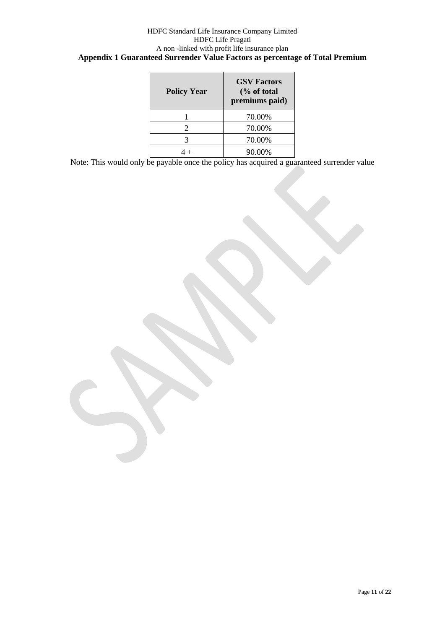## HDFC Standard Life Insurance Company Limited HDFC Life Pragati A non -linked with profit life insurance plan **Appendix 1 Guaranteed Surrender Value Factors as percentage of Total Premium**

| <b>Policy Year</b> | <b>GSV Factors</b><br>$\frac{6}{6}$ of total<br>premiums paid) |  |
|--------------------|----------------------------------------------------------------|--|
|                    | 70.00%                                                         |  |
| 2                  | 70.00%                                                         |  |
| 3                  | 70.00%                                                         |  |
|                    | 90.00%                                                         |  |

Note: This would only be payable once the policy has acquired a guaranteed surrender value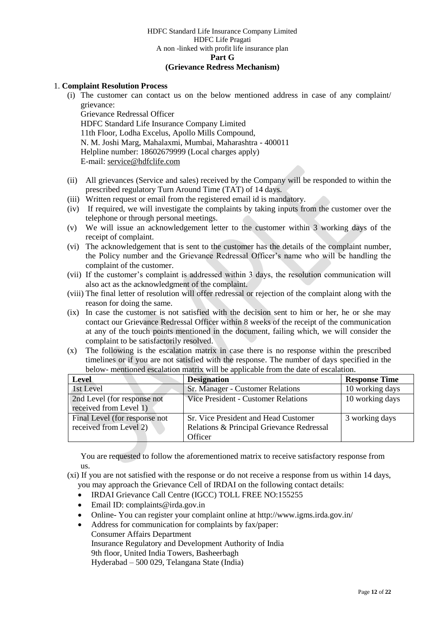## HDFC Standard Life Insurance Company Limited HDFC Life Pragati A non -linked with profit life insurance plan **Part G (Grievance Redress Mechanism)**

## 1. **Complaint Resolution Process**

(i) The customer can contact us on the below mentioned address in case of any complaint/ grievance:

Grievance Redressal Officer HDFC Standard Life Insurance Company Limited 11th Floor, Lodha Excelus, Apollo Mills Compound, N. M. Joshi Marg, Mahalaxmi, Mumbai, Maharashtra - 400011 Helpline number: 18602679999 (Local charges apply) E-mail[: service@hdfclife.com](mailto:service@hdfclife.com)

- (ii) All grievances (Service and sales) received by the Company will be responded to within the prescribed regulatory Turn Around Time (TAT) of 14 days.
- (iii) Written request or email from the registered email id is mandatory.
- (iv) If required, we will investigate the complaints by taking inputs from the customer over the telephone or through personal meetings.
- (v) We will issue an acknowledgement letter to the customer within 3 working days of the receipt of complaint.
- (vi) The acknowledgement that is sent to the customer has the details of the complaint number, the Policy number and the Grievance Redressal Officer's name who will be handling the complaint of the customer.
- (vii) If the customer's complaint is addressed within 3 days, the resolution communication will also act as the acknowledgment of the complaint.
- (viii) The final letter of resolution will offer redressal or rejection of the complaint along with the reason for doing the same.
- (ix) In case the customer is not satisfied with the decision sent to him or her, he or she may contact our Grievance Redressal Officer within 8 weeks of the receipt of the communication at any of the touch points mentioned in the document, failing which, we will consider the complaint to be satisfactorily resolved.
- (x) The following is the escalation matrix in case there is no response within the prescribed timelines or if you are not satisfied with the response. The number of days specified in the below- mentioned escalation matrix will be applicable from the date of escalation.

| <b>Level</b>                                            | <b>Designation</b>                                                                           | <b>Response Time</b> |
|---------------------------------------------------------|----------------------------------------------------------------------------------------------|----------------------|
| 1st Level                                               | <b>Sr. Manager - Customer Relations</b>                                                      | 10 working days      |
| 2nd Level (for response not<br>received from Level 1)   | Vice President - Customer Relations                                                          | 10 working days      |
| Final Level (for response not<br>received from Level 2) | Sr. Vice President and Head Customer<br>Relations & Principal Grievance Redressal<br>Officer | 3 working days       |

You are requested to follow the aforementioned matrix to receive satisfactory response from us.

(xi) If you are not satisfied with the response or do not receive a response from us within 14 days, you may approach the Grievance Cell of IRDAI on the following contact details:

- IRDAI Grievance Call Centre (IGCC) TOLL FREE NO:155255
- $\bullet$  Email ID: complaints@irda.gov.in
- Online- You can register your complaint online at http://www.igms.irda.gov.in/
- Address for communication for complaints by fax/paper: Consumer Affairs Department Insurance Regulatory and Development Authority of India 9th floor, United India Towers, Basheerbagh Hyderabad – 500 029, Telangana State (India)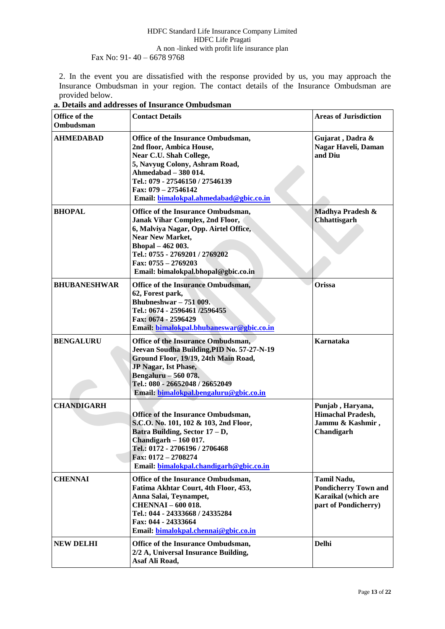## HDFC Standard Life Insurance Company Limited HDFC Life Pragati A non -linked with profit life insurance plan Fax No: 91- 40 – 6678 9768

2. In the event you are dissatisfied with the response provided by us, you may approach the Insurance Ombudsman in your region. The contact details of the Insurance Ombudsman are provided below.

| Office of the<br><b>Ombudsman</b> | <b>Contact Details</b>                                                                                                                                                                                                                                         | <b>Areas of Jurisdiction</b>                                                              |
|-----------------------------------|----------------------------------------------------------------------------------------------------------------------------------------------------------------------------------------------------------------------------------------------------------------|-------------------------------------------------------------------------------------------|
| <b>AHMEDABAD</b>                  | Office of the Insurance Ombudsman,<br>2nd floor, Ambica House,<br>Near C.U. Shah College,<br>5, Navyug Colony, Ashram Road,<br>Ahmedabad - 380 014.<br>Tel.: 079 - 27546150 / 27546139<br>Fax: $079 - 27546142$<br>Email: bimalokpal.ahmedabad@gbic.co.in      | Gujarat, Dadra &<br>Nagar Haveli, Daman<br>and Diu                                        |
| <b>BHOPAL</b>                     | Office of the Insurance Ombudsman,<br><b>Janak Vihar Complex, 2nd Floor,</b><br>6, Malviya Nagar, Opp. Airtel Office,<br>Near New Market,<br>Bhopal - 462 003.<br>Tel.: 0755 - 2769201 / 2769202<br>Fax: 0755 - 2769203<br>Email: bimalokpal.bhopal@gbic.co.in | Madhya Pradesh &<br>Chhattisgarh                                                          |
| <b>BHUBANESHWAR</b>               | Office of the Insurance Ombudsman,<br>62, Forest park,<br>Bhubneshwar $-751009$ .<br>Tel.: 0674 - 2596461 /2596455<br>Fax: 0674 - 2596429<br>Email: bimalokpal.bhubaneswar@gbic.co.in                                                                          | Orissa                                                                                    |
| <b>BENGALURU</b>                  | Office of the Insurance Ombudsman,<br>Jeevan Soudha Building, PID No. 57-27-N-19<br>Ground Floor, 19/19, 24th Main Road,<br><b>JP Nagar, Ist Phase,</b><br>Bengaluru - 560 078.<br>Tel.: 080 - 26652048 / 26652049<br>Email: bimalokpal.bengaluru@gbic.co.in   | <b>Karnataka</b>                                                                          |
| <b>CHANDIGARH</b>                 | Office of the Insurance Ombudsman,<br>S.C.O. No. 101, 102 & 103, 2nd Floor,<br>Batra Building, Sector 17 - D,<br>Chandigarh $-160$ 017.<br>Tel.: 0172 - 2706196 / 2706468<br>Fax: 0172 - 2708274<br>Email: bimalokpal.chandigarh@gbic.co.in                    | Punjab, Haryana,<br><b>Himachal Pradesh,</b><br>Jammu & Kashmir,<br>Chandigarh            |
| <b>CHENNAI</b>                    | Office of the Insurance Ombudsman,<br>Fatima Akhtar Court, 4th Floor, 453,<br>Anna Salai, Teynampet,<br><b>CHENNAI - 600 018.</b><br>Tel.: 044 - 24333668 / 24335284<br>Fax: 044 - 24333664<br>Email: bimalokpal.chennai@gbic.co.in                            | Tamil Nadu,<br><b>Pondicherry Town and</b><br>Karaikal (which are<br>part of Pondicherry) |
| <b>NEW DELHI</b>                  | Office of the Insurance Ombudsman,<br>2/2 A, Universal Insurance Building,<br>Asaf Ali Road,                                                                                                                                                                   | Delhi                                                                                     |

## **a. Details and addresses of Insurance Ombudsman**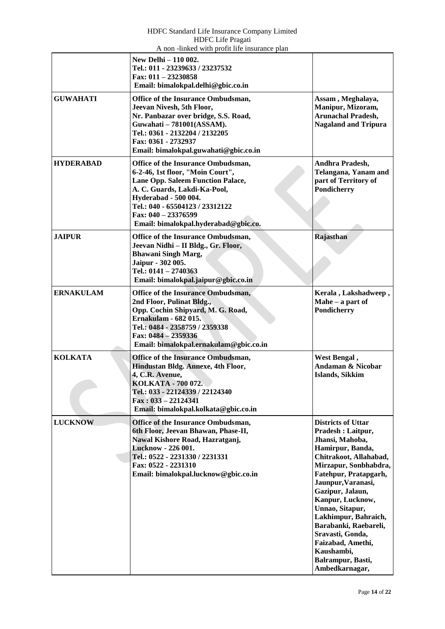|                  | HDFC Standard Life Insurance Company Limited                                                                                                                                                                                                                                        |                                                                                                                                                                                                                                                                                                                                                                                                   |
|------------------|-------------------------------------------------------------------------------------------------------------------------------------------------------------------------------------------------------------------------------------------------------------------------------------|---------------------------------------------------------------------------------------------------------------------------------------------------------------------------------------------------------------------------------------------------------------------------------------------------------------------------------------------------------------------------------------------------|
|                  | HDFC Life Pragati<br>A non-linked with profit life insurance plan                                                                                                                                                                                                                   |                                                                                                                                                                                                                                                                                                                                                                                                   |
|                  | New Delhi - 110 002.<br>Tel.: 011 - 23239633 / 23237532<br>Fax: $011 - 23230858$<br>Email: bimalokpal.delhi@gbic.co.in                                                                                                                                                              |                                                                                                                                                                                                                                                                                                                                                                                                   |
| <b>GUWAHATI</b>  | Office of the Insurance Ombudsman,<br>Jeevan Nivesh, 5th Floor,<br>Nr. Panbazar over bridge, S.S. Road,<br>Guwahati - 781001(ASSAM).<br>Tel.: 0361 - 2132204 / 2132205<br>Fax: 0361 - 2732937<br>Email: bimalokpal.guwahati@gbic.co.in                                              | Assam, Meghalaya,<br>Manipur, Mizoram,<br><b>Arunachal Pradesh,</b><br><b>Nagaland and Tripura</b>                                                                                                                                                                                                                                                                                                |
| <b>HYDERABAD</b> | Office of the Insurance Ombudsman,<br>6-2-46, 1st floor, "Moin Court",<br><b>Lane Opp. Saleem Function Palace,</b><br>A. C. Guards, Lakdi-Ka-Pool,<br><b>Hyderabad - 500 004.</b><br>Tel.: 040 - 65504123 / 23312122<br>Fax: 040 - 23376599<br>Email: bimalokpal.hyderabad@gbic.co. | Andhra Pradesh,<br>Telangana, Yanam and<br>part of Territory of<br>Pondicherry                                                                                                                                                                                                                                                                                                                    |
| <b>JAIPUR</b>    | Office of the Insurance Ombudsman,<br>Jeevan Nidhi - II Bldg., Gr. Floor,<br><b>Bhawani Singh Marg,</b><br>Jaipur - 302 005.<br>Tel.: 0141 - 2740363<br>Email: bimalokpal.jaipur@gbic.co.in                                                                                         | Rajasthan                                                                                                                                                                                                                                                                                                                                                                                         |
| <b>ERNAKULAM</b> | Office of the Insurance Ombudsman,<br>2nd Floor, Pulinat Bldg.,<br>Opp. Cochin Shipyard, M. G. Road,<br>Ernakulam - 682 015.<br>Tel.: 0484 - 2358759 / 2359338<br>Fax: $0484 - 2359336$<br>Email: bimalokpal.ernakulam@gbic.co.in                                                   | Kerala, Lakshadweep,<br>Mahe $-$ a part of<br>Pondicherry                                                                                                                                                                                                                                                                                                                                         |
| <b>KOLKATA</b>   | Office of the Insurance Ombudsman,<br>Hindustan Bldg. Annexe, 4th Floor,<br>4, C.R. Avenue,<br>KOLKATA - 700 072.<br>Tel.: 033 - 22124339 / 22124340<br>$\text{Fax}: 033 - 22124341$<br>Email: bimalokpal.kolkata@gbic.co.in                                                        | West Bengal,<br>Andaman & Nicobar<br><b>Islands, Sikkim</b>                                                                                                                                                                                                                                                                                                                                       |
| <b>LUCKNOW</b>   | Office of the Insurance Ombudsman,<br>6th Floor, Jeevan Bhawan, Phase-II,<br>Nawal Kishore Road, Hazratganj,<br>Lucknow - 226 001.<br>Tel.: 0522 - 2231330 / 2231331<br>Fax: 0522 - 2231310<br>Email: bimalokpal.lucknow@gbic.co.in                                                 | <b>Districts of Uttar</b><br>Pradesh: Laitpur,<br>Jhansi, Mahoba,<br>Hamirpur, Banda,<br>Chitrakoot, Allahabad,<br>Mirzapur, Sonbhabdra,<br>Fatehpur, Pratapgarh,<br>Jaunpur, Varanasi,<br>Gazipur, Jalaun,<br>Kanpur, Lucknow,<br>Unnao, Sitapur,<br>Lakhimpur, Bahraich,<br>Barabanki, Raebareli,<br>Sravasti, Gonda,<br>Faizabad, Amethi,<br>Kaushambi,<br>Balrampur, Basti,<br>Ambedkarnagar, |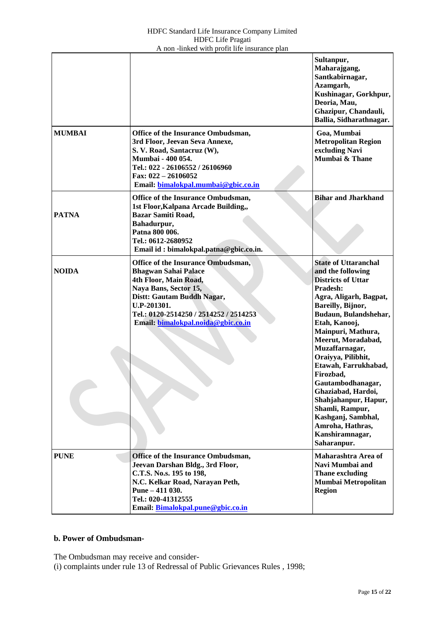|               |                                                                                                                                                                                                                                                  | Sultanpur,<br>Maharajgang,<br>Santkabirnagar,<br>Azamgarh,<br>Kushinagar, Gorkhpur,<br>Deoria, Mau,<br>Ghazipur, Chandauli,<br>Ballia, Sidharathnagar.                                                                                                                                                                                                                                                                                                                        |
|---------------|--------------------------------------------------------------------------------------------------------------------------------------------------------------------------------------------------------------------------------------------------|-------------------------------------------------------------------------------------------------------------------------------------------------------------------------------------------------------------------------------------------------------------------------------------------------------------------------------------------------------------------------------------------------------------------------------------------------------------------------------|
| <b>MUMBAI</b> | Office of the Insurance Ombudsman,<br>3rd Floor, Jeevan Seva Annexe,<br>S. V. Road, Santacruz (W),<br>Mumbai - 400 054.<br>Tel.: 022 - 26106552 / 26106960<br>Fax: $022 - 26106052$<br>Email: bimalokpal.mumbai@gbic.co.in                       | Goa, Mumbai<br><b>Metropolitan Region</b><br>excluding Navi<br>Mumbai & Thane                                                                                                                                                                                                                                                                                                                                                                                                 |
| <b>PATNA</b>  | Office of the Insurance Ombudsman,<br>1st Floor, Kalpana Arcade Building,,<br><b>Bazar Samiti Road,</b><br>Bahadurpur,<br>Patna 800 006.<br>Tel.: 0612-2680952<br>Email id: bimalokpal.patna@gbic.co.in.                                         | <b>Bihar and Jharkhand</b>                                                                                                                                                                                                                                                                                                                                                                                                                                                    |
| <b>NOIDA</b>  | Office of the Insurance Ombudsman,<br><b>Bhagwan Sahai Palace</b><br>4th Floor, Main Road,<br>Naya Bans, Sector 15,<br>Distt: Gautam Buddh Nagar,<br>U.P-201301.<br>Tel.: 0120-2514250 / 2514252 / 2514253<br>Email: bimalokpal.noida@gbic.co.in | <b>State of Uttaranchal</b><br>and the following<br><b>Districts of Uttar</b><br>Pradesh:<br>Agra, Aligarh, Bagpat,<br>Bareilly, Bijnor,<br>Budaun, Bulandshehar,<br>Etah, Kanooj,<br>Mainpuri, Mathura,<br>Meerut, Moradabad,<br>Muzaffarnagar,<br>Oraiyya, Pilibhit,<br>Etawah, Farrukhabad,<br>Firozbad,<br>Gautambodhanagar,<br>Ghaziabad, Hardoi,<br>Shahjahanpur, Hapur,<br>Shamli, Rampur,<br>Kashganj, Sambhal,<br>Amroha, Hathras,<br>Kanshiramnagar,<br>Saharanpur. |
| <b>PUNE</b>   | Office of the Insurance Ombudsman,<br>Jeevan Darshan Bldg., 3rd Floor,<br>C.T.S. No.s. 195 to 198,<br>N.C. Kelkar Road, Narayan Peth,<br>Pune - 411 030.<br>Tel.: 020-41312555<br>Email: Bimalokpal.pune@gbic.co.in                              | Maharashtra Area of<br>Navi Mumbai and<br><b>Thane excluding</b><br>Mumbai Metropolitan<br><b>Region</b>                                                                                                                                                                                                                                                                                                                                                                      |

# **b. Power of Ombudsman-**

The Ombudsman may receive and consider- [\(i\)](http://indiankanoon.org/doc/160521836/) complaints under rule 13 of Redressal of Public Grievances Rules , 1998;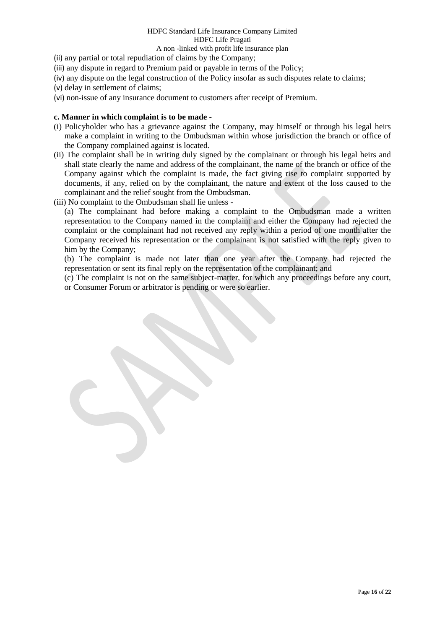# HDFC Standard Life Insurance Company Limited

#### HDFC Life Pragati

#### A non -linked with profit life insurance plan

[\(ii\)](http://indiankanoon.org/doc/156757242/) any partial or total repudiation of claims by the Company;

- [\(iii\)](http://indiankanoon.org/doc/163591613/) any dispute in regard to Premium paid or payable in terms of the Policy;
- [\(iv\)](http://indiankanoon.org/doc/31367799/) any dispute on the legal construction of the Policy insofar as such disputes relate to claims;
- [\(v\)](http://indiankanoon.org/doc/26463888/) delay in settlement of claims;
- [\(vi\)](http://indiankanoon.org/doc/47238858/) non-issue of any insurance document to customers after receipt of Premium.

## **c. Manner in which complaint is to be made -**

- [\(i\)](http://indiankanoon.org/doc/160481793/) Policyholder who has a grievance against the Company, may himself or through his legal heirs make a complaint in writing to the Ombudsman within whose jurisdiction the branch or office of the Company complained against is located.
- [\(ii\)](http://indiankanoon.org/doc/116915928/) The complaint shall be in writing duly signed by the complainant or through his legal heirs and shall state clearly the name and address of the complainant, the name of the branch or office of the Company against which the complaint is made, the fact giving rise to complaint supported by documents, if any, relied on by the complainant, the nature and extent of the loss caused to the complainant and the relief sought from the Ombudsman.
- [\(iii\)](http://indiankanoon.org/doc/99464357/) No complaint to the Ombudsman shall lie unless -

[\(a\)](http://indiankanoon.org/doc/87794950/) The complainant had before making a complaint to the Ombudsman made a written representation to the Company named in the complaint and either the Company had rejected the complaint or the complainant had not received any reply within a period of one month after the Company received his representation or the complainant is not satisfied with the reply given to him by the Company;

[\(b\)](http://indiankanoon.org/doc/84880221/) The complaint is made not later than one year after the Company had rejected the representation or sent its final reply on the representation of the complainant; and

[\(c\)](http://indiankanoon.org/doc/116794480/) The complaint is not on the same subject-matter, for which any proceedings before any court, or Consumer Forum or arbitrator is pending or were so earlier.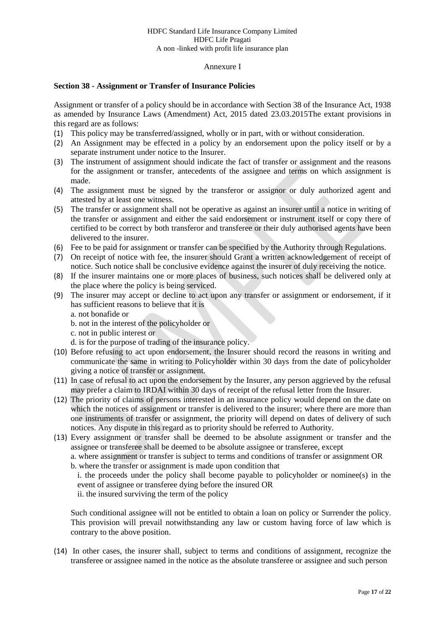## Annexure I

## **Section 38 - Assignment or Transfer of Insurance Policies**

Assignment or transfer of a policy should be in accordance with Section 38 of the Insurance Act, 1938 as amended by Insurance Laws (Amendment) Act, 2015 dated 23.03.2015The extant provisions in this regard are as follows:

- (1) This policy may be transferred/assigned, wholly or in part, with or without consideration.
- (2) An Assignment may be effected in a policy by an endorsement upon the policy itself or by a separate instrument under notice to the Insurer.
- (3) The instrument of assignment should indicate the fact of transfer or assignment and the reasons for the assignment or transfer, antecedents of the assignee and terms on which assignment is made.
- (4) The assignment must be signed by the transferor or assignor or duly authorized agent and attested by at least one witness.
- (5) The transfer or assignment shall not be operative as against an insurer until a notice in writing of the transfer or assignment and either the said endorsement or instrument itself or copy there of certified to be correct by both transferor and transferee or their duly authorised agents have been delivered to the insurer.
- (6) Fee to be paid for assignment or transfer can be specified by the Authority through Regulations.
- (7) On receipt of notice with fee, the insurer should Grant a written acknowledgement of receipt of notice. Such notice shall be conclusive evidence against the insurer of duly receiving the notice.
- (8) If the insurer maintains one or more places of business, such notices shall be delivered only at the place where the policy is being serviced.
- (9) The insurer may accept or decline to act upon any transfer or assignment or endorsement, if it has sufficient reasons to believe that it is

a. not bonafide or

b. not in the interest of the policyholder or

c. not in public interest or

- d. is for the purpose of trading of the insurance policy.
- (10) Before refusing to act upon endorsement, the Insurer should record the reasons in writing and communicate the same in writing to Policyholder within 30 days from the date of policyholder giving a notice of transfer or assignment.
- (11) In case of refusal to act upon the endorsement by the Insurer, any person aggrieved by the refusal may prefer a claim to IRDAI within 30 days of receipt of the refusal letter from the Insurer.
- (12) The priority of claims of persons interested in an insurance policy would depend on the date on which the notices of assignment or transfer is delivered to the insurer; where there are more than one instruments of transfer or assignment, the priority will depend on dates of delivery of such notices. Any dispute in this regard as to priority should be referred to Authority.
- (13) Every assignment or transfer shall be deemed to be absolute assignment or transfer and the assignee or transferee shall be deemed to be absolute assignee or transferee, except

a. where assignment or transfer is subject to terms and conditions of transfer or assignment OR

b. where the transfer or assignment is made upon condition that

i. the proceeds under the policy shall become payable to policyholder or nominee(s) in the event of assignee or transferee dying before the insured OR

ii. the insured surviving the term of the policy

Such conditional assignee will not be entitled to obtain a loan on policy or Surrender the policy. This provision will prevail notwithstanding any law or custom having force of law which is contrary to the above position.

(14) In other cases, the insurer shall, subject to terms and conditions of assignment, recognize the transferee or assignee named in the notice as the absolute transferee or assignee and such person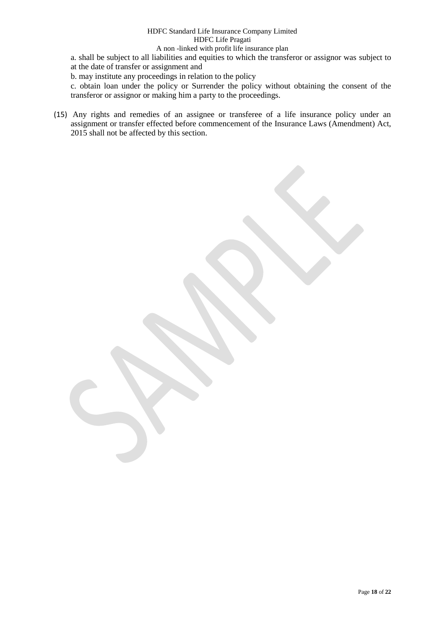#### HDFC Standard Life Insurance Company Limited HDFC Life Pragati

A non -linked with profit life insurance plan

a. shall be subject to all liabilities and equities to which the transferor or assignor was subject to at the date of transfer or assignment and

b. may institute any proceedings in relation to the policy

c. obtain loan under the policy or Surrender the policy without obtaining the consent of the transferor or assignor or making him a party to the proceedings.

(15) Any rights and remedies of an assignee or transferee of a life insurance policy under an assignment or transfer effected before commencement of the Insurance Laws (Amendment) Act, 2015 shall not be affected by this section.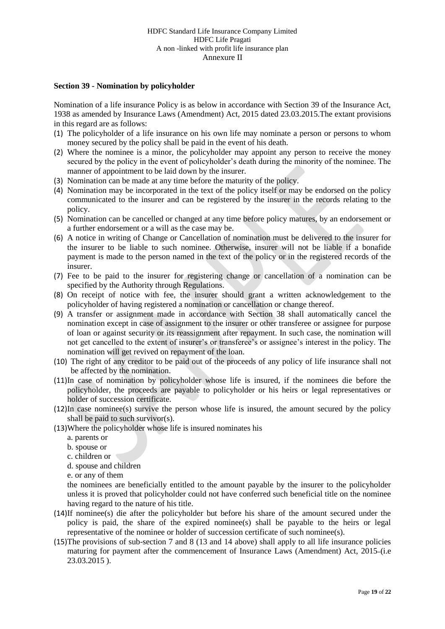## **Section 39 - Nomination by policyholder**

Nomination of a life insurance Policy is as below in accordance with Section 39 of the Insurance Act, 1938 as amended by Insurance Laws (Amendment) Act, 2015 dated 23.03.2015.The extant provisions in this regard are as follows:

- (1) The policyholder of a life insurance on his own life may nominate a person or persons to whom money secured by the policy shall be paid in the event of his death.
- (2) Where the nominee is a minor, the policyholder may appoint any person to receive the money secured by the policy in the event of policyholder's death during the minority of the nominee. The manner of appointment to be laid down by the insurer.
- (3) Nomination can be made at any time before the maturity of the policy.
- (4) Nomination may be incorporated in the text of the policy itself or may be endorsed on the policy communicated to the insurer and can be registered by the insurer in the records relating to the policy.
- (5) Nomination can be cancelled or changed at any time before policy matures, by an endorsement or a further endorsement or a will as the case may be.
- (6) A notice in writing of Change or Cancellation of nomination must be delivered to the insurer for the insurer to be liable to such nominee. Otherwise, insurer will not be liable if a bonafide payment is made to the person named in the text of the policy or in the registered records of the insurer.
- (7) Fee to be paid to the insurer for registering change or cancellation of a nomination can be specified by the Authority through Regulations.
- (8) On receipt of notice with fee, the insurer should grant a written acknowledgement to the policyholder of having registered a nomination or cancellation or change thereof.
- (9) A transfer or assignment made in accordance with Section 38 shall automatically cancel the nomination except in case of assignment to the insurer or other transferee or assignee for purpose of loan or against security or its reassignment after repayment. In such case, the nomination will not get cancelled to the extent of insurer's or transferee's or assignee's interest in the policy. The nomination will get revived on repayment of the loan.
- (10) The right of any creditor to be paid out of the proceeds of any policy of life insurance shall not be affected by the nomination.
- (11)In case of nomination by policyholder whose life is insured, if the nominees die before the policyholder, the proceeds are payable to policyholder or his heirs or legal representatives or holder of succession certificate.
- (12)In case nominee(s) survive the person whose life is insured, the amount secured by the policy shall be paid to such survivor(s).
- (13)Where the policyholder whose life is insured nominates his
	- a. parents or
	- b. spouse or
	- c. children or
	- d. spouse and children
	- e. or any of them

the nominees are beneficially entitled to the amount payable by the insurer to the policyholder unless it is proved that policyholder could not have conferred such beneficial title on the nominee having regard to the nature of his title.

- (14)If nominee(s) die after the policyholder but before his share of the amount secured under the policy is paid, the share of the expired nominee(s) shall be payable to the heirs or legal representative of the nominee or holder of succession certificate of such nominee(s).
- (15)The provisions of sub-section 7 and 8 (13 and 14 above) shall apply to all life insurance policies maturing for payment after the commencement of Insurance Laws (Amendment) Act, 2015 (i.e 23.03.2015 ).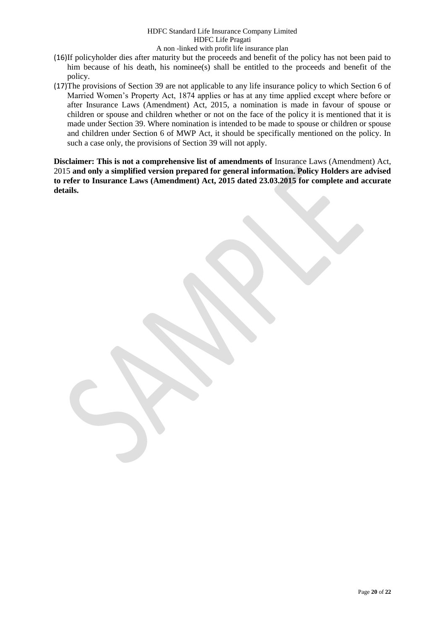#### HDFC Standard Life Insurance Company Limited HDFC Life Pragati A non -linked with profit life insurance plan

- (16)If policyholder dies after maturity but the proceeds and benefit of the policy has not been paid to him because of his death, his nominee(s) shall be entitled to the proceeds and benefit of the policy.
- (17)The provisions of Section 39 are not applicable to any life insurance policy to which Section 6 of Married Women's Property Act, 1874 applies or has at any time applied except where before or after Insurance Laws (Amendment) Act, 2015, a nomination is made in favour of spouse or children or spouse and children whether or not on the face of the policy it is mentioned that it is made under Section 39. Where nomination is intended to be made to spouse or children or spouse and children under Section 6 of MWP Act, it should be specifically mentioned on the policy. In such a case only, the provisions of Section 39 will not apply.

**Disclaimer: This is not a comprehensive list of amendments of** Insurance Laws (Amendment) Act, 2015 **and only a simplified version prepared for general information. Policy Holders are advised to refer to Insurance Laws (Amendment) Act, 2015 dated 23.03.2015 for complete and accurate details.**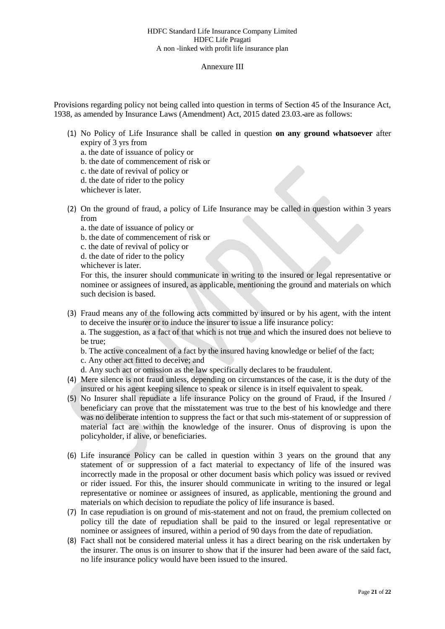## Annexure III

Provisions regarding policy not being called into question in terms of Section 45 of the Insurance Act, 1938, as amended by Insurance Laws (Amendment) Act, 2015 dated 23.03. are as follows:

(1) No Policy of Life Insurance shall be called in question **on any ground whatsoever** after expiry of 3 yrs from a. the date of issuance of policy or

b. the date of commencement of risk or

- c. the date of revival of policy or
- d. the date of rider to the policy

whichever is later.

- (2) On the ground of fraud, a policy of Life Insurance may be called in question within 3 years from
	- a. the date of issuance of policy or
	- b. the date of commencement of risk or
	- c. the date of revival of policy or
	- d. the date of rider to the policy

whichever is later.

For this, the insurer should communicate in writing to the insured or legal representative or nominee or assignees of insured, as applicable, mentioning the ground and materials on which such decision is based.

(3) Fraud means any of the following acts committed by insured or by his agent, with the intent to deceive the insurer or to induce the insurer to issue a life insurance policy: a. The suggestion, as a fact of that which is not true and which the insured does not believe to

be true; b. The active concealment of a fact by the insured having knowledge or belief of the fact;

c. Any other act fitted to deceive; and

- d. Any such act or omission as the law specifically declares to be fraudulent.
- (4) Mere silence is not fraud unless, depending on circumstances of the case, it is the duty of the insured or his agent keeping silence to speak or silence is in itself equivalent to speak.
- (5) No Insurer shall repudiate a life insurance Policy on the ground of Fraud, if the Insured / beneficiary can prove that the misstatement was true to the best of his knowledge and there was no deliberate intention to suppress the fact or that such mis-statement of or suppression of material fact are within the knowledge of the insurer. Onus of disproving is upon the policyholder, if alive, or beneficiaries.
- (6) Life insurance Policy can be called in question within 3 years on the ground that any statement of or suppression of a fact material to expectancy of life of the insured was incorrectly made in the proposal or other document basis which policy was issued or revived or rider issued. For this, the insurer should communicate in writing to the insured or legal representative or nominee or assignees of insured, as applicable, mentioning the ground and materials on which decision to repudiate the policy of life insurance is based.
- (7) In case repudiation is on ground of mis-statement and not on fraud, the premium collected on policy till the date of repudiation shall be paid to the insured or legal representative or nominee or assignees of insured, within a period of 90 days from the date of repudiation.
- (8) Fact shall not be considered material unless it has a direct bearing on the risk undertaken by the insurer. The onus is on insurer to show that if the insurer had been aware of the said fact, no life insurance policy would have been issued to the insured.